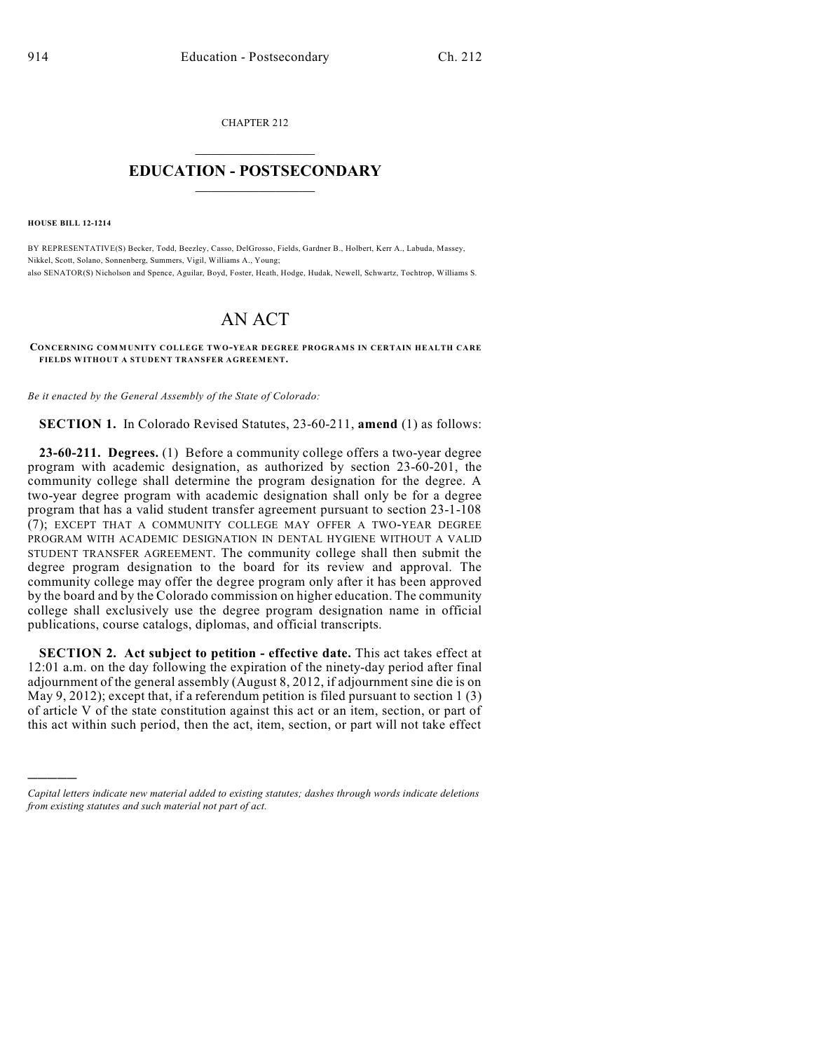CHAPTER 212  $\overline{\phantom{a}}$  . The set of the set of the set of the set of the set of the set of the set of the set of the set of the set of the set of the set of the set of the set of the set of the set of the set of the set of the set o

## **EDUCATION - POSTSECONDARY**  $\frac{1}{2}$  ,  $\frac{1}{2}$  ,  $\frac{1}{2}$  ,  $\frac{1}{2}$  ,  $\frac{1}{2}$  ,  $\frac{1}{2}$  ,  $\frac{1}{2}$

**HOUSE BILL 12-1214**

)))))

BY REPRESENTATIVE(S) Becker, Todd, Beezley, Casso, DelGrosso, Fields, Gardner B., Holbert, Kerr A., Labuda, Massey, Nikkel, Scott, Solano, Sonnenberg, Summers, Vigil, Williams A., Young; also SENATOR(S) Nicholson and Spence, Aguilar, Boyd, Foster, Heath, Hodge, Hudak, Newell, Schwartz, Tochtrop, Williams S.

## AN ACT

## **CONCERNING COMMUNITY COLLEGE TWO-YEAR DEGREE PROGRAMS IN CERTAIN HEALTH CARE FIELDS WITHOUT A STUDENT TRANSFER AGREEMENT.**

*Be it enacted by the General Assembly of the State of Colorado:*

**SECTION 1.** In Colorado Revised Statutes, 23-60-211, **amend** (1) as follows:

**23-60-211. Degrees.** (1) Before a community college offers a two-year degree program with academic designation, as authorized by section 23-60-201, the community college shall determine the program designation for the degree. A two-year degree program with academic designation shall only be for a degree program that has a valid student transfer agreement pursuant to section 23-1-108 (7); EXCEPT THAT A COMMUNITY COLLEGE MAY OFFER A TWO-YEAR DEGREE PROGRAM WITH ACADEMIC DESIGNATION IN DENTAL HYGIENE WITHOUT A VALID STUDENT TRANSFER AGREEMENT. The community college shall then submit the degree program designation to the board for its review and approval. The community college may offer the degree program only after it has been approved by the board and by the Colorado commission on higher education. The community college shall exclusively use the degree program designation name in official publications, course catalogs, diplomas, and official transcripts.

**SECTION 2. Act subject to petition - effective date.** This act takes effect at 12:01 a.m. on the day following the expiration of the ninety-day period after final adjournment of the general assembly (August 8, 2012, if adjournment sine die is on May 9, 2012); except that, if a referendum petition is filed pursuant to section 1  $(3)$ of article V of the state constitution against this act or an item, section, or part of this act within such period, then the act, item, section, or part will not take effect

*Capital letters indicate new material added to existing statutes; dashes through words indicate deletions from existing statutes and such material not part of act.*